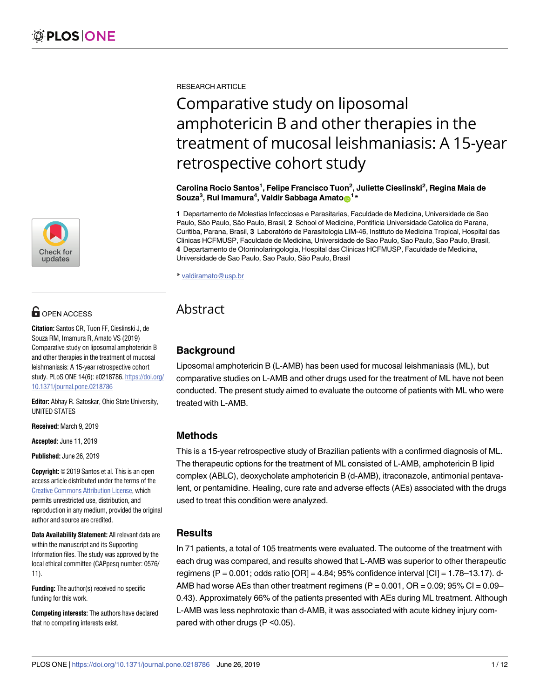

# **G** OPEN ACCESS

**Citation:** Santos CR, Tuon FF, Cieslinski J, de Souza RM, Imamura R, Amato VS (2019) Comparative study on liposomal amphotericin B and other therapies in the treatment of mucosal leishmaniasis: A 15-year retrospective cohort study. PLoS ONE 14(6): e0218786. [https://doi.org/](https://doi.org/10.1371/journal.pone.0218786) [10.1371/journal.pone.0218786](https://doi.org/10.1371/journal.pone.0218786)

**Editor:** Abhay R. Satoskar, Ohio State University, UNITED STATES

**Received:** March 9, 2019

**Accepted:** June 11, 2019

**Published:** June 26, 2019

**Copyright:** © 2019 Santos et al. This is an open access article distributed under the terms of the Creative Commons [Attribution](http://creativecommons.org/licenses/by/4.0/) License, which permits unrestricted use, distribution, and reproduction in any medium, provided the original author and source are credited.

**Data Availability Statement:** All relevant data are within the manuscript and its Supporting Information files. The study was approved by the local ethical committee (CAPpesq number: 0576/ 11).

**Funding:** The author(s) received no specific funding for this work.

**Competing interests:** The authors have declared that no competing interests exist.

RESEARCH ARTICLE

# Comparative study on liposomal amphotericin B and other therapies in the treatment of mucosal leishmaniasis: A 15-year retrospective cohort study

**Carolina Rocio Santos1 , Felipe Francisco Tuon2 , Juliette Cieslinski2 , Regina Maia de**  $\mathsf{Souza}^3, \mathsf{Rui}\ \mathsf{Imamura}^4, \mathsf{Valdir}\ \mathsf{Sabbaga}\ \mathsf{Amato} \textcolor{red}{\textbf{\textsf{D}}}^{1\,*}$ 

**1** Departamento de Molestias Infecciosas e Parasitarias, Faculdade de Medicina, Universidade de Sao Paulo, São Paulo, São Paulo, Brasil, 2 School of Medicine, Pontificia Universidade Catolica do Parana, Curitiba, Parana, Brasil, 3 Laboratório de Parasitologia LIM-46, Instituto de Medicina Tropical, Hospital das Clinicas HCFMUSP, Faculdade de Medicina, Universidade de Sao Paulo, Sao Paulo, Sao Paulo, Brasil, **4** Departamento de Otorrinolaringologia, Hospital das Clinicas HCFMUSP, Faculdade de Medicina, Universidade de Sao Paulo, Sao Paulo, São Paulo, Brasil

\* valdiramato@usp.br

## Abstract

## **Background**

Liposomal amphotericin B (L-AMB) has been used for mucosal leishmaniasis (ML), but comparative studies on L-AMB and other drugs used for the treatment of ML have not been conducted. The present study aimed to evaluate the outcome of patients with ML who were treated with L-AMB.

## **Methods**

This is a 15-year retrospective study of Brazilian patients with a confirmed diagnosis of ML. The therapeutic options for the treatment of ML consisted of L-AMB, amphotericin B lipid complex (ABLC), deoxycholate amphotericin B (d-AMB), itraconazole, antimonial pentavalent, or pentamidine. Healing, cure rate and adverse effects (AEs) associated with the drugs used to treat this condition were analyzed.

## **Results**

In 71 patients, a total of 105 treatments were evaluated. The outcome of the treatment with each drug was compared, and results showed that L-AMB was superior to other therapeutic regimens (P =  $0.001$ ; odds ratio [OR] =  $4.84$ ; 95% confidence interval [CI] =  $1.78-13.17$ ). d-AMB had worse AEs than other treatment regimens  $(P = 0.001, OR = 0.09; 95\% CI = 0.09-$ 0.43). Approximately 66% of the patients presented with AEs during ML treatment. Although L-AMB was less nephrotoxic than d-AMB, it was associated with acute kidney injury compared with other drugs (P <0.05).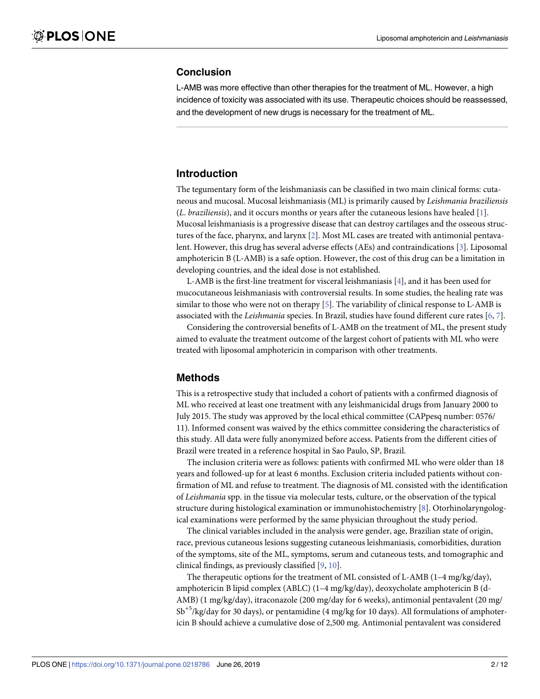## <span id="page-1-0"></span>**Conclusion**

L-AMB was more effective than other therapies for the treatment of ML. However, a high incidence of toxicity was associated with its use. Therapeutic choices should be reassessed, and the development of new drugs is necessary for the treatment of ML.

## **Introduction**

The tegumentary form of the leishmaniasis can be classified in two main clinical forms: cutaneous and mucosal. Mucosal leishmaniasis (ML) is primarily caused by *Leishmania braziliensis* (*L*. *braziliensis*), and it occurs months or years after the cutaneous lesions have healed [[1\]](#page-10-0). Mucosal leishmaniasis is a progressive disease that can destroy cartilages and the osseous structures of the face, pharynx, and larynx [[2\]](#page-10-0). Most ML cases are treated with antimonial pentavalent. However, this drug has several adverse effects (AEs) and contraindications [[3\]](#page-10-0). Liposomal amphotericin B (L-AMB) is a safe option. However, the cost of this drug can be a limitation in developing countries, and the ideal dose is not established.

L-AMB is the first-line treatment for visceral leishmaniasis [\[4\]](#page-10-0), and it has been used for mucocutaneous leishmaniasis with controversial results. In some studies, the healing rate was similar to those who were not on therapy [\[5](#page-10-0)]. The variability of clinical response to L-AMB is associated with the *Leishmania* species. In Brazil, studies have found different cure rates [[6](#page-10-0), [7](#page-10-0)].

Considering the controversial benefits of L-AMB on the treatment of ML, the present study aimed to evaluate the treatment outcome of the largest cohort of patients with ML who were treated with liposomal amphotericin in comparison with other treatments.

## **Methods**

This is a retrospective study that included a cohort of patients with a confirmed diagnosis of ML who received at least one treatment with any leishmanicidal drugs from January 2000 to July 2015. The study was approved by the local ethical committee (CAPpesq number: 0576/ 11). Informed consent was waived by the ethics committee considering the characteristics of this study. All data were fully anonymized before access. Patients from the different cities of Brazil were treated in a reference hospital in Sao Paulo, SP, Brazil.

The inclusion criteria were as follows: patients with confirmed ML who were older than 18 years and followed-up for at least 6 months. Exclusion criteria included patients without confirmation of ML and refuse to treatment. The diagnosis of ML consisted with the identification of *Leishmania* spp. in the tissue via molecular tests, culture, or the observation of the typical structure during histological examination or immunohistochemistry [\[8\]](#page-10-0). Otorhinolaryngological examinations were performed by the same physician throughout the study period.

The clinical variables included in the analysis were gender, age, Brazilian state of origin, race, previous cutaneous lesions suggesting cutaneous leishmaniasis, comorbidities, duration of the symptoms, site of the ML, symptoms, serum and cutaneous tests, and tomographic and clinical findings, as previously classified [\[9,](#page-10-0) [10\]](#page-11-0).

The therapeutic options for the treatment of ML consisted of L-AMB (1–4 mg/kg/day), amphotericin B lipid complex (ABLC) (1–4 mg/kg/day), deoxycholate amphotericin B (d-AMB) (1 mg/kg/day), itraconazole (200 mg/day for 6 weeks), antimonial pentavalent (20 mg/ Sb<sup>+5</sup>/kg/day for 30 days), or pentamidine (4 mg/kg for 10 days). All formulations of amphotericin B should achieve a cumulative dose of 2,500 mg. Antimonial pentavalent was considered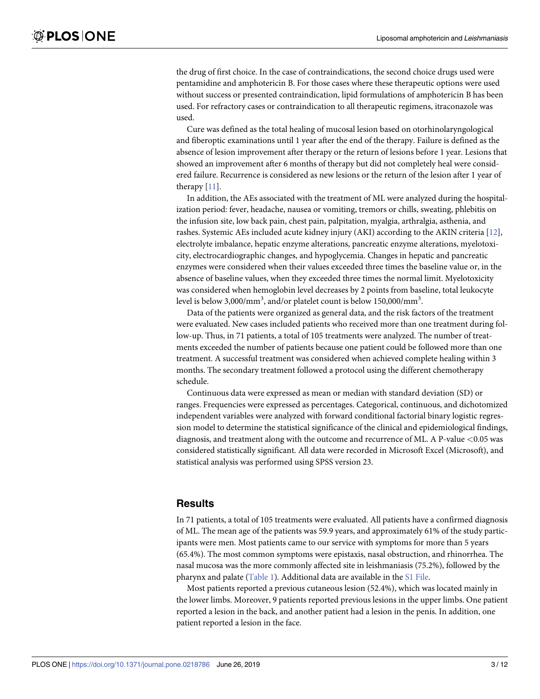<span id="page-2-0"></span>the drug of first choice. In the case of contraindications, the second choice drugs used were pentamidine and amphotericin B. For those cases where these therapeutic options were used without success or presented contraindication, lipid formulations of amphotericin B has been used. For refractory cases or contraindication to all therapeutic regimens, itraconazole was used.

Cure was defined as the total healing of mucosal lesion based on otorhinolaryngological and fiberoptic examinations until 1 year after the end of the therapy. Failure is defined as the absence of lesion improvement after therapy or the return of lesions before 1 year. Lesions that showed an improvement after 6 months of therapy but did not completely heal were considered failure. Recurrence is considered as new lesions or the return of the lesion after 1 year of therapy [[11](#page-11-0)].

In addition, the AEs associated with the treatment of ML were analyzed during the hospitalization period: fever, headache, nausea or vomiting, tremors or chills, sweating, phlebitis on the infusion site, low back pain, chest pain, palpitation, myalgia, arthralgia, asthenia, and rashes. Systemic AEs included acute kidney injury (AKI) according to the AKIN criteria [[12](#page-11-0)], electrolyte imbalance, hepatic enzyme alterations, pancreatic enzyme alterations, myelotoxicity, electrocardiographic changes, and hypoglycemia. Changes in hepatic and pancreatic enzymes were considered when their values exceeded three times the baseline value or, in the absence of baseline values, when they exceeded three times the normal limit. Myelotoxicity was considered when hemoglobin level decreases by 2 points from baseline, total leukocyte level is below 3,000/mm<sup>3</sup>, and/or platelet count is below 150,000/mm<sup>3</sup>.

Data of the patients were organized as general data, and the risk factors of the treatment were evaluated. New cases included patients who received more than one treatment during follow-up. Thus, in 71 patients, a total of 105 treatments were analyzed. The number of treatments exceeded the number of patients because one patient could be followed more than one treatment. A successful treatment was considered when achieved complete healing within 3 months. The secondary treatment followed a protocol using the different chemotherapy schedule.

Continuous data were expressed as mean or median with standard deviation (SD) or ranges. Frequencies were expressed as percentages. Categorical, continuous, and dichotomized independent variables were analyzed with forward conditional factorial binary logistic regression model to determine the statistical significance of the clinical and epidemiological findings, diagnosis, and treatment along with the outcome and recurrence of ML. A P-value *<*0.05 was considered statistically significant. All data were recorded in Microsoft Excel (Microsoft), and statistical analysis was performed using SPSS version 23.

#### **Results**

In 71 patients, a total of 105 treatments were evaluated. All patients have a confirmed diagnosis of ML. The mean age of the patients was 59.9 years, and approximately 61% of the study participants were men. Most patients came to our service with symptoms for more than 5 years (65.4%). The most common symptoms were epistaxis, nasal obstruction, and rhinorrhea. The nasal mucosa was the more commonly affected site in leishmaniasis (75.2%), followed by the pharynx and palate ([Table](#page-3-0) 1). Additional data are available in the S1 [File.](#page-10-0)

Most patients reported a previous cutaneous lesion (52.4%), which was located mainly in the lower limbs. Moreover, 9 patients reported previous lesions in the upper limbs. One patient reported a lesion in the back, and another patient had a lesion in the penis. In addition, one patient reported a lesion in the face.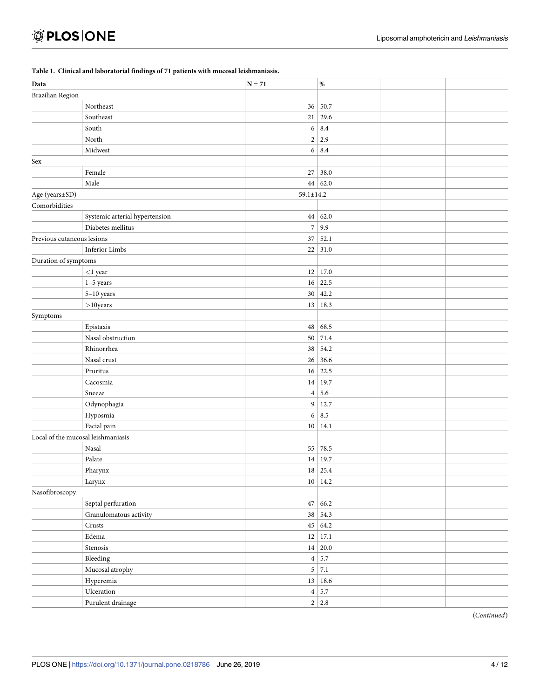|                            | Tubie 1. Chineui una nobelatoriai miamgo or 7 1 patiento with maccoai reformamable |                 |                |  |
|----------------------------|------------------------------------------------------------------------------------|-----------------|----------------|--|
| Data                       |                                                                                    | $N = 71$        | $\%$           |  |
| <b>Brazilian Region</b>    |                                                                                    |                 |                |  |
|                            | Northeast                                                                          |                 | 36 50.7        |  |
|                            | Southeast                                                                          | 21              | 29.6           |  |
|                            | South                                                                              |                 | $6 \mid 8.4$   |  |
|                            | North                                                                              |                 | $2 \mid 2.9$   |  |
|                            | Midwest                                                                            |                 | $6 \mid 8.4$   |  |
| Sex                        |                                                                                    |                 |                |  |
|                            | Female                                                                             |                 | 27 38.0        |  |
|                            | Male                                                                               |                 | 44   62.0      |  |
| Age (years±SD)             |                                                                                    | $59.1 \pm 14.2$ |                |  |
| Comorbidities              |                                                                                    |                 |                |  |
|                            | Systemic arterial hypertension                                                     |                 | 44   62.0      |  |
|                            | Diabetes mellitus                                                                  |                 | 7 9.9          |  |
| Previous cutaneous lesions |                                                                                    | 37              | 52.1           |  |
|                            | <b>Inferior Limbs</b>                                                              | 22              | 31.0           |  |
| Duration of symptoms       |                                                                                    |                 |                |  |
|                            | $<$ 1 year                                                                         |                 | $12 \mid 17.0$ |  |
|                            | $1-5$ years                                                                        |                 | $16 \mid 22.5$ |  |
|                            | $5-10$ years                                                                       |                 | $30 \mid 42.2$ |  |
|                            | $>$ 10 years                                                                       |                 | 13 18.3        |  |
| Symptoms                   |                                                                                    |                 |                |  |
|                            | Epistaxis                                                                          |                 | 48 68.5        |  |
|                            | Nasal obstruction                                                                  |                 | 50 71.4        |  |
|                            | Rhinorrhea                                                                         | 38              | 54.2           |  |
|                            | Nasal crust                                                                        | 26              | 36.6           |  |
|                            | Pruritus                                                                           | 16              | 22.5           |  |
|                            | Cacosmia                                                                           | 14              | 19.7           |  |
|                            | Sneeze                                                                             | 4               | 5.6            |  |
|                            | Odynophagia                                                                        |                 | 9 12.7         |  |
|                            | Hyposmia                                                                           |                 | $6 \mid 8.5$   |  |
|                            | Facial pain                                                                        |                 | 10 14.1        |  |
|                            | Local of the mucosal leishmaniasis                                                 |                 |                |  |
|                            | Nasal                                                                              |                 | 55 78.5        |  |
|                            | Palate                                                                             |                 | 14 19.7        |  |
|                            | Pharynx                                                                            |                 | $18$ 25.4      |  |
|                            | Larynx                                                                             |                 | 10 14.2        |  |
| Nasofibroscopy             |                                                                                    |                 |                |  |
|                            | Septal perfuration                                                                 |                 | 47 66.2        |  |
|                            | Granulomatous activity                                                             |                 | 38   54.3      |  |
|                            | $\rm Crusts$                                                                       |                 | 45 64.2        |  |
|                            | ${\rm Edema}$                                                                      |                 | $12 \mid 17.1$ |  |
|                            | Stenosis                                                                           |                 | 14 20.0        |  |
|                            | Bleeding                                                                           |                 | 4 5.7          |  |
|                            | Mucosal atrophy                                                                    |                 | $5 \mid 7.1$   |  |
|                            | Hyperemia                                                                          |                 | 13 18.6        |  |
|                            | Ulceration                                                                         |                 | 4 5.7          |  |
|                            | Purulent drainage                                                                  |                 | $2 \mid 2.8$   |  |
|                            |                                                                                    |                 |                |  |

#### <span id="page-3-0"></span>**[Table](#page-2-0) 1. Clinical and laboratorial findings of 71 patients with mucosal leishmaniasis.**

(*Continued*)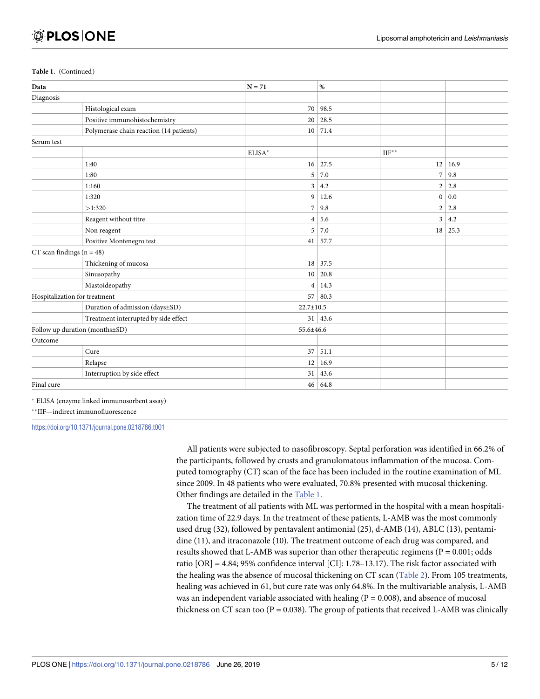#### <span id="page-4-0"></span>**Table 1.** (Continued)

| Data                            |                                         | $N = 71$        | $\%$           |                 |      |
|---------------------------------|-----------------------------------------|-----------------|----------------|-----------------|------|
| Diagnosis                       |                                         |                 |                |                 |      |
|                                 | Histological exam                       | 70              | 98.5           |                 |      |
|                                 | Positive immunohistochemistry           | 20              | 28.5           |                 |      |
|                                 | Polymerase chain reaction (14 patients) | 10 <sup>1</sup> | 71.4           |                 |      |
| Serum test                      |                                         |                 |                |                 |      |
|                                 |                                         | ELISA*          |                | $\Pi F^{**}$    |      |
|                                 | 1:40                                    | 16              | 27.5           | 12              | 16.9 |
|                                 | 1:80                                    | 5               | 7.0            | $\overline{7}$  | 9.8  |
|                                 | 1:160                                   | $\overline{3}$  | 4.2            | $\overline{c}$  | 2.8  |
|                                 | 1:320                                   | 9               | 12.6           | 0 <sup>1</sup>  | 0.0  |
|                                 | >1:320                                  | $\sqrt{2}$      | 9.8            | $\overline{c}$  | 2.8  |
|                                 | Reagent without titre                   | $\overline{4}$  | 5.6            | 3               | 4.2  |
|                                 | Non reagent                             | 5               | 7.0            | 18 <sup>1</sup> | 25.3 |
|                                 | Positive Montenegro test                | 41              | 57.7           |                 |      |
| $CT$ scan findings ( $n = 48$ ) |                                         |                 |                |                 |      |
|                                 | Thickening of mucosa                    |                 | $18 \mid 37.5$ |                 |      |
|                                 | Sinusopathy                             | 10 <sup>1</sup> | 20.8           |                 |      |
|                                 | Mastoideopathy                          | $\overline{4}$  | 14.3           |                 |      |
|                                 | Hospitalization for treatment           | 57 <sup>1</sup> | 80.3           |                 |      |
|                                 | Duration of admission (days±SD)         | $22.7 \pm 10.5$ |                |                 |      |
|                                 | Treatment interrupted by side effect    |                 | $31 \mid 43.6$ |                 |      |
| Follow up duration (months±SD)  |                                         |                 | 55.6±46.6      |                 |      |
| Outcome                         |                                         |                 |                |                 |      |
|                                 | Cure                                    | 37              | 51.1           |                 |      |
|                                 | Relapse                                 | 12              | 16.9           |                 |      |
|                                 | Interruption by side effect             | 31              | 43.6           |                 |      |
| Final cure                      |                                         | 46              | 64.8           |                 |      |

� ELISA (enzyme linked immunosorbent assay)

��IIF—indirect immunofluorescence

<https://doi.org/10.1371/journal.pone.0218786.t001>

All patients were subjected to nasofibroscopy. Septal perforation was identified in 66.2% of the participants, followed by crusts and granulomatous inflammation of the mucosa. Computed tomography (CT) scan of the face has been included in the routine examination of ML since 2009. In 48 patients who were evaluated, 70.8% presented with mucosal thickening. Other findings are detailed in the [Table](#page-3-0) 1.

The treatment of all patients with ML was performed in the hospital with a mean hospitalization time of 22.9 days. In the treatment of these patients, L-AMB was the most commonly used drug (32), followed by pentavalent antimonial (25), d-AMB (14), ABLC (13), pentamidine (11), and itraconazole (10). The treatment outcome of each drug was compared, and results showed that L-AMB was superior than other therapeutic regimens ( $P = 0.001$ ; odds ratio [OR] = 4.84; 95% confidence interval [CI]: 1.78–13.17). The risk factor associated with the healing was the absence of mucosal thickening on CT scan [\(Table](#page-5-0) 2). From 105 treatments, healing was achieved in 61, but cure rate was only 64.8%. In the multivariable analysis, L-AMB was an independent variable associated with healing  $(P = 0.008)$ , and absence of mucosal thickness on CT scan too ( $P = 0.038$ ). The group of patients that received L-AMB was clinically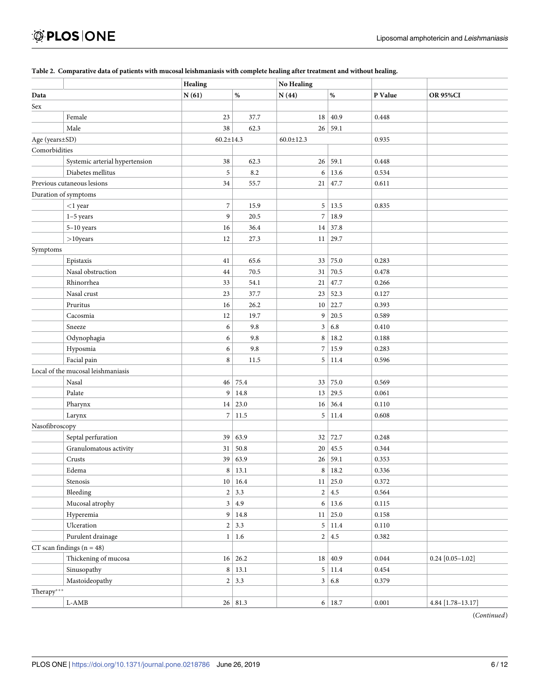|                |                                    | Healing          |                | <b>No Healing</b> |                |         |                    |
|----------------|------------------------------------|------------------|----------------|-------------------|----------------|---------|--------------------|
| Data           |                                    | N(61)            | $\%$           | N(44)             | $\%$           | P Value | <b>OR 95%CI</b>    |
| Sex            |                                    |                  |                |                   |                |         |                    |
|                | Female                             | 23               | 37.7           | 18                | 40.9           | 0.448   |                    |
|                | Male                               | 38               | 62.3           |                   | 26 59.1        |         |                    |
| Age (years±SD) |                                    | $60.2 \pm 14.3$  |                | $60.0 \pm 12.3$   |                | 0.935   |                    |
| Comorbidities  |                                    |                  |                |                   |                |         |                    |
|                | Systemic arterial hypertension     | $38\,$           | 62.3           | 26                | 59.1           | 0.448   |                    |
|                | Diabetes mellitus                  | 5                | 8.2            | 6                 | 13.6           | 0.534   |                    |
|                | Previous cutaneous lesions         | 34               | 55.7           | 21                | 47.7           | 0.611   |                    |
|                | Duration of symptoms               |                  |                |                   |                |         |                    |
|                | $<$ 1 year                         | $\boldsymbol{7}$ | 15.9           | 5                 | 13.5           | 0.835   |                    |
|                | $1-5$ years                        | 9                | 20.5           | $\boldsymbol{7}$  | 18.9           |         |                    |
|                | $5-10$ years                       | 16               | 36.4           |                   | $14 \mid 37.8$ |         |                    |
|                | $>10$ years                        | 12               | 27.3           | 11                | 29.7           |         |                    |
| Symptoms       |                                    |                  |                |                   |                |         |                    |
|                | Epistaxis                          | 41               | 65.6           | 33                | 75.0           | 0.283   |                    |
|                | Nasal obstruction                  | $44\,$           | 70.5           | 31                | 70.5           | 0.478   |                    |
|                | Rhinorrhea                         | 33               | 54.1           | 21                | 47.7           | 0.266   |                    |
|                | Nasal crust                        | 23               | 37.7           | 23                | 52.3           | 0.127   |                    |
|                | Pruritus                           | 16               | 26.2           | 10 <sup>°</sup>   | 22.7           | 0.393   |                    |
|                | Cacosmia                           | $12\,$           | 19.7           | 9                 | 20.5           | 0.589   |                    |
|                | Sneeze                             | 6                | 9.8            | $\mathfrak{Z}$    | 6.8            | 0.410   |                    |
|                | Odynophagia                        | 6                | 9.8            | $\,$ 8 $\,$       | 18.2           | 0.188   |                    |
|                | Hyposmia                           | 6                | 9.8            | $\boldsymbol{7}$  | 15.9           | 0.283   |                    |
|                | Facial pain                        | 8                | 11.5           |                   | $5 \mid 11.4$  | 0.596   |                    |
|                | Local of the mucosal leishmaniasis |                  |                |                   |                |         |                    |
|                | Nasal                              | 46               | 75.4           | 33                | 75.0           | 0.569   |                    |
|                | Palate                             | 9                | 14.8           | 13                | 29.5           | 0.061   |                    |
|                | Pharynx                            |                  | $14 \mid 23.0$ | 16 <sup>1</sup>   | 36.4           | 0.110   |                    |
|                | Larynx                             |                  | 7 11.5         | 5                 | 11.4           | 0.608   |                    |
| Nasofibroscopy |                                    |                  |                |                   |                |         |                    |
|                | Septal perfuration                 | 39               | 63.9           | 32                | 72.7           | 0.248   |                    |
|                | Granulomatous activity             | 31               | 50.8           | 20                | 45.5           | 0.344   |                    |
|                | Crusts                             | 39               | 63.9           |                   | 26 59.1        | 0.353   |                    |
|                | ${\rm Edema}$                      | 8                | 13.1           | 8                 | 18.2           | 0.336   |                    |
|                | Stenosis                           |                  | 10 16.4        |                   | $11 \mid 25.0$ | 0.372   |                    |
|                | Bleeding                           |                  | $2 \mid 3.3$   |                   | $2 \mid 4.5$   | 0.564   |                    |
|                | Mucosal atrophy                    |                  | 3 4.9          |                   | 6 13.6         | 0.115   |                    |
|                | Hyperemia                          |                  | 9 14.8         |                   | $11 \mid 25.0$ | 0.158   |                    |
|                | Ulceration                         |                  | $2 \mid 3.3$   |                   | $5 \mid 11.4$  | 0.110   |                    |
|                | Purulent drainage                  |                  | $1 \mid 1.6$   |                   | $2 \mid 4.5$   | 0.382   |                    |
|                | $CT$ scan findings $(n = 48)$      |                  |                |                   |                |         |                    |
|                | Thickening of mucosa               |                  | $16 \mid 26.2$ |                   | $18 \mid 40.9$ | 0.044   | $0.24$ [0.05-1.02] |
|                | Sinusopathy                        | $\,$ 8 $\,$      | 13.1           |                   | $5 \mid 11.4$  | 0.454   |                    |
|                | Mastoideopathy                     |                  | $2 \mid 3.3$   |                   | 3   6.8        | 0.379   |                    |
| Therapy***     |                                    |                  |                |                   |                |         |                    |
|                | $\text{L-AMB}$                     |                  | 26 81.3        |                   | 6 18.7         | 0.001   | 4.84 [1.78-13.17]  |

#### <span id="page-5-0"></span>[Table](#page-4-0) 2. Comparative data of patients with mucosal leishmaniasis with complete healing after treatment and without healing.

(*Continued*)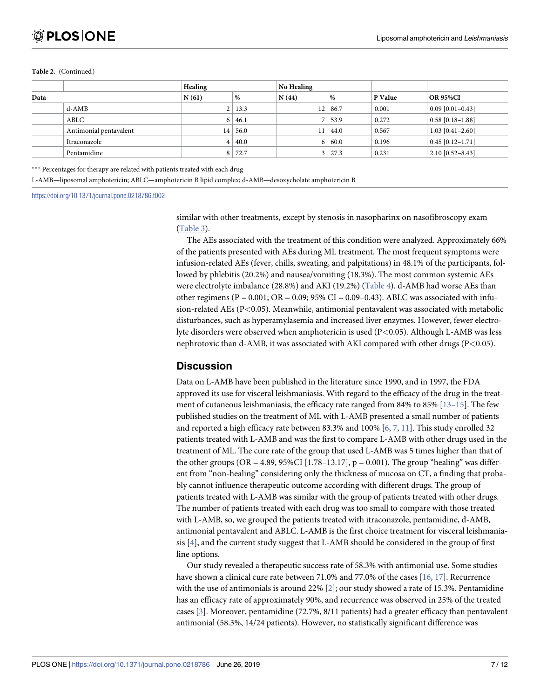#### <span id="page-6-0"></span>**Table 2.** (Continued)

|      |                        | <b>Healing</b> |                | <b>No Healing</b> |               |         |                    |
|------|------------------------|----------------|----------------|-------------------|---------------|---------|--------------------|
| Data |                        | N(61)          | $\frac{9}{6}$  | N(44)             | %             | P Value | <b>OR 95%CI</b>    |
|      | d-AMB                  |                | $2 \mid 13.3$  | 12                | 86.7          | 0.001   | $0.09$ [0.01-0.43] |
|      | ABLC                   | $6^+$          | 46.1           |                   | 153.9         | 0.272   | $0.58$ [0.18-1.88] |
|      | Antimonial pentavalent | 14             | 56.0           | 11                | 44.0          | 0.567   | $1.03$ [0.41-2.60] |
|      | Itraconazole           |                | $ 40.0\rangle$ |                   | 60.0          | 0.196   | $0.45$ [0.12-1.71] |
|      | Pentamidine            |                | 8 72.7         |                   | $3 \mid 27.3$ | 0.231   | $2.10$ [0.52-8.43] |

\*\*\* Percentages for therapy are related with patients treated with each drug

L-AMB—liposomal amphotericin; ABLC—amphotericin B lipid complex; d-AMB—desoxycholate amphotericin B

<https://doi.org/10.1371/journal.pone.0218786.t002>

similar with other treatments, except by stenosis in nasopharinx on nasofibroscopy exam [\(Table](#page-7-0) 3).

The AEs associated with the treatment of this condition were analyzed. Approximately 66% of the patients presented with AEs during ML treatment. The most frequent symptoms were infusion-related AEs (fever, chills, sweating, and palpitations) in 48.1% of the participants, followed by phlebitis (20.2%) and nausea/vomiting (18.3%). The most common systemic AEs were electrolyte imbalance (28.8%) and AKI (19.2%) ([Table](#page-8-0) 4). d-AMB had worse AEs than other regimens (P = 0.001; OR = 0.09; 95% CI = 0.09–0.43). ABLC was associated with infusion-related AEs (P*<*0.05). Meanwhile, antimonial pentavalent was associated with metabolic disturbances, such as hyperamylasemia and increased liver enzymes. However, fewer electrolyte disorders were observed when amphotericin is used (P*<*0.05). Although L-AMB was less nephrotoxic than d-AMB, it was associated with AKI compared with other drugs (P*<*0.05).

## **Discussion**

Data on L-AMB have been published in the literature since 1990, and in 1997, the FDA approved its use for visceral leishmaniasis. With regard to the efficacy of the drug in the treatment of cutaneous leishmaniasis, the efficacy rate ranged from 84% to 85% [\[13–15](#page-11-0)]. The few published studies on the treatment of ML with L-AMB presented a small number of patients and reported a high efficacy rate between 83.3% and 100% [[6](#page-10-0), [7](#page-10-0), [11](#page-11-0)]. This study enrolled 32 patients treated with L-AMB and was the first to compare L-AMB with other drugs used in the treatment of ML. The cure rate of the group that used L-AMB was 5 times higher than that of the other groups (OR = 4.89, 95%CI [1.78–13.17],  $p = 0.001$ ). The group "healing" was different from "non-healing" considering only the thickness of mucosa on CT, a finding that probably cannot influence therapeutic outcome according with different drugs. The group of patients treated with L-AMB was similar with the group of patients treated with other drugs. The number of patients treated with each drug was too small to compare with those treated with L-AMB, so, we grouped the patients treated with itraconazole, pentamidine, d-AMB, antimonial pentavalent and ABLC. L-AMB is the first choice treatment for visceral leishmaniasis [\[4](#page-10-0)], and the current study suggest that L-AMB should be considered in the group of first line options.

Our study revealed a therapeutic success rate of 58.3% with antimonial use. Some studies have shown a clinical cure rate between 71.0% and 77.0% of the cases [\[16,](#page-11-0) [17\]](#page-11-0). Recurrence with the use of antimonials is around 22% [\[2\]](#page-10-0); our study showed a rate of 15.3%. Pentamidine has an efficacy rate of approximately 90%, and recurrence was observed in 25% of the treated cases [[3](#page-10-0)]. Moreover, pentamidine (72.7%, 8/11 patients) had a greater efficacy than pentavalent antimonial (58.3%, 14/24 patients). However, no statistically significant difference was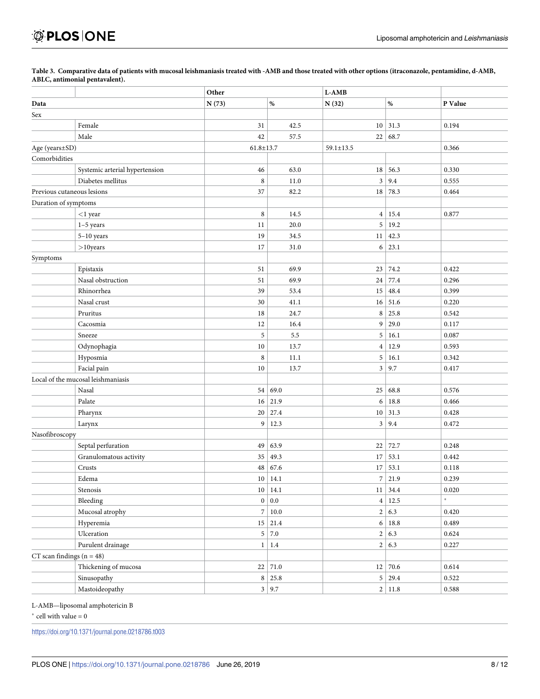|                                 |                                    | Other           |                | L-AMB           |                |             |  |
|---------------------------------|------------------------------------|-----------------|----------------|-----------------|----------------|-------------|--|
| Data                            |                                    | N(73)           | $\%$           | N(32)           | $\%$           | P Value     |  |
| Sex                             |                                    |                 |                |                 |                |             |  |
|                                 | Female                             | 31              | 42.5           | 10 <sup>1</sup> | 31.3           | 0.194       |  |
|                                 | Male                               | 42              | 57.5           | 22              | 68.7           |             |  |
| Age (years±SD)                  |                                    | $61.8 \pm 13.7$ |                | $59.1 \pm 13.5$ |                | 0.366       |  |
| Comorbidities                   |                                    |                 |                |                 |                |             |  |
|                                 | Systemic arterial hypertension     | 46              | 63.0           | 18              | 56.3           | 0.330       |  |
|                                 | Diabetes mellitus                  | $\,$ 8 $\,$     | 11.0           | $\mathfrak{Z}$  | 9.4            | 0.555       |  |
| Previous cutaneous lesions      |                                    | 37              | 82.2           | 18              | 78.3           | 0.464       |  |
| Duration of symptoms            |                                    |                 |                |                 |                |             |  |
|                                 | $<$ 1 year                         | $\,8\,$         | 14.5           | $\overline{4}$  | 15.4           | 0.877       |  |
|                                 | $1-5$ years                        | 11              | 20.0           | 5               | 19.2           |             |  |
|                                 | $5-10$ years                       | 19              | 34.5           | 11              | 42.3           |             |  |
|                                 | $>$ 10years                        | 17              | 31.0           | 6               | 23.1           |             |  |
| Symptoms                        |                                    |                 |                |                 |                |             |  |
|                                 | Epistaxis                          | 51              | 69.9           | 23              | 74.2           | 0.422       |  |
|                                 | Nasal obstruction                  | 51              | 69.9           | 24              | 77.4           | 0.296       |  |
|                                 | Rhinorrhea                         | 39              | 53.4           | $15\,$          | 48.4           | 0.399       |  |
|                                 | Nasal crust                        | 30              | 41.1           | 16              | 51.6           | 0.220       |  |
|                                 | Pruritus                           | 18              | 24.7           | 8               | 25.8           | 0.542       |  |
|                                 | Cacosmia                           | 12              | 16.4           | 9               | 29.0           | 0.117       |  |
|                                 | Sneeze                             | 5               | 5.5            | 5               | 16.1           | 0.087       |  |
|                                 | Odynophagia                        | $10\,$          | 13.7           | $\overline{4}$  | 12.9           | 0.593       |  |
|                                 | Hyposmia                           | $\,$ 8 $\,$     | 11.1           | 5               | 16.1           | 0.342       |  |
|                                 | Facial pain                        | 10              | 13.7           | 3               | 9.7            | 0.417       |  |
|                                 | Local of the mucosal leishmaniasis |                 |                |                 |                |             |  |
|                                 | Nasal                              | 54              | 69.0           | 25              | 68.8           | 0.576       |  |
|                                 | Palate                             | 16 <sup>1</sup> | 21.9           | 6               | 18.8           | 0.466       |  |
|                                 | Pharynx                            | 20              | 27.4           | 10              | 31.3           | 0.428       |  |
|                                 | Larynx                             | 9               | 12.3           | $\mathbf{3}$    | 9.4            | 0.472       |  |
| Nasofibroscopy                  |                                    |                 |                |                 |                |             |  |
|                                 | Septal perfuration                 | 49              | 63.9           | 22              | 72.7           | 0.248       |  |
|                                 | Granulomatous activity             | 35              | 49.3           | $17\,$          | 53.1           | 0.442       |  |
|                                 | Crusts                             | 48              | 67.6           | 17              | 53.1           | 0.118       |  |
|                                 | Edema                              | 10 <sup>1</sup> | 14.1           | $\overline{7}$  | 21.9           | 0.239       |  |
|                                 | Stenosis                           |                 | 10 14.1        |                 | $11 \mid 34.4$ | $0.020\,$   |  |
|                                 | Bleeding                           |                 | $0$ 0.0        | 4               | 12.5           | $\ast$      |  |
|                                 | Mucosal atrophy                    | 7               | $10.0\,$       |                 | 2 6.3          | 0.420       |  |
|                                 | Hyperemia                          |                 | $15 \mid 21.4$ |                 | 6 18.8         | 0.489       |  |
|                                 | Ulceration                         | 5               | $7.0\,$        |                 | 2 6.3          | 0.624       |  |
|                                 | Purulent drainage                  | $1\vert$        | $1.4\,$        |                 | 2 6.3          | 0.227       |  |
| $CT$ scan findings ( $n = 48$ ) |                                    |                 |                |                 |                |             |  |
|                                 | Thickening of mucosa               |                 | $22 \mid 71.0$ |                 | 12 70.6        | 0.614       |  |
|                                 | Sinusopathy                        |                 | $8 \mid 25.8$  |                 | $5 \mid 29.4$  | 0.522       |  |
|                                 | Mastoideopathy                     |                 | $3 \mid 9.7$   |                 | 2 11.8         | $\,0.588\,$ |  |
|                                 |                                    |                 |                |                 |                |             |  |

<span id="page-7-0"></span>[Table](#page-6-0) 3. Comparative data of patients with mucosal leishmaniasis treated with -AMB and those treated with other options (itraconazole, pentamidine, d-AMB, **ABLC, antimonial pentavalent).**

L-AMB—liposomal amphotericin B

 $^\ast$  cell with value  $=0$ 

<https://doi.org/10.1371/journal.pone.0218786.t003>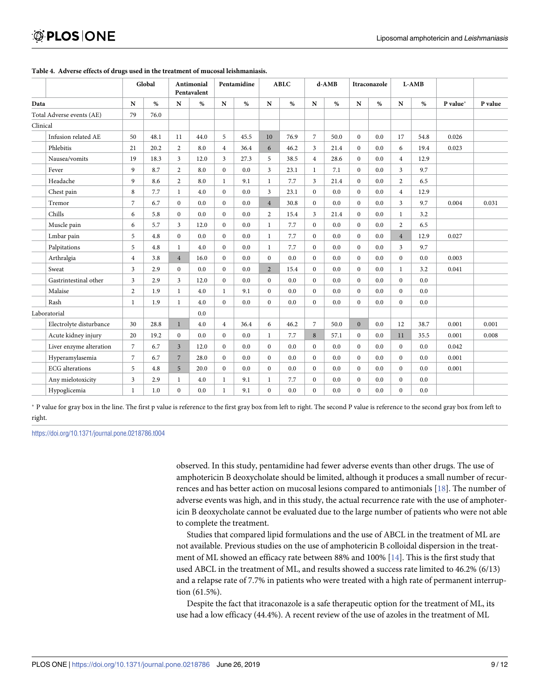|                           |                | Global |                | Antimonial<br>Pentavalent |                | Pentamidine |                | <b>ABLC</b> |                | d-AMB |                | Itraconazole |                         | L-AMB |          |         |
|---------------------------|----------------|--------|----------------|---------------------------|----------------|-------------|----------------|-------------|----------------|-------|----------------|--------------|-------------------------|-------|----------|---------|
| Data                      | N              | $\%$   | ${\bf N}$      | %                         | ${\bf N}$      | $\%$        | $\mathbf N$    | %           | N              | $\%$  | N              | $\%$         | N                       | %     | P value* | P value |
| Total Adverse events (AE) | 79             | 76.0   |                |                           |                |             |                |             |                |       |                |              |                         |       |          |         |
| Clinical                  |                |        |                |                           |                |             |                |             |                |       |                |              |                         |       |          |         |
| Infusion related AE       | 50             | 48.1   | 11             | 44.0                      | 5              | 45.5        | 10             | 76.9        | $\sqrt{ }$     | 50.0  | $\mathbf{0}$   | 0.0          | 17                      | 54.8  | 0.026    |         |
| Phlebitis                 | 21             | 20.2   | $\overline{2}$ | 8.0                       | $\overline{4}$ | 36.4        | 6              | 46.2        | 3              | 21.4  | $\mathbf{0}$   | 0.0          | 6                       | 19.4  | 0.023    |         |
| Nausea/vomits             | 19             | 18.3   | 3              | 12.0                      | $\mathfrak{Z}$ | 27.3        | 5              | 38.5        | $\overline{4}$ | 28.6  | $\mathbf{0}$   | 0.0          | $\overline{4}$          | 12.9  |          |         |
| Fever                     | 9              | 8.7    | $\overline{2}$ | 8.0                       | $\mathbf{0}$   | 0.0         | $\overline{3}$ | 23.1        | $\mathbf{1}$   | 7.1   | $\overline{0}$ | 0.0          | $\overline{\mathbf{3}}$ | 9.7   |          |         |
| Headache                  | 9              | 8.6    | $\overline{2}$ | 8.0                       | $\mathbf{1}$   | 9.1         | $\mathbf{1}$   | 7.7         | 3              | 21.4  | $\mathbf{0}$   | 0.0          | $\overline{2}$          | 6.5   |          |         |
| Chest pain                | 8              | 7.7    | $\mathbf{1}$   | 4.0                       | $\mathbf{0}$   | 0.0         | 3              | 23.1        | $\bf{0}$       | 0.0   | $\mathbf{0}$   | 0.0          | $\overline{4}$          | 12.9  |          |         |
| Tremor                    | $\overline{7}$ | 6.7    | $\mathbf{0}$   | 0.0                       | $\Omega$       | 0.0         | $\overline{4}$ | 30.8        | $\mathbf{0}$   | 0.0   | $\mathbf{0}$   | 0.0          | $\overline{\mathbf{3}}$ | 9.7   | 0.004    | 0.031   |
| Chills                    | 6              | 5.8    | $\overline{0}$ | 0.0                       | $\mathbf{0}$   | 0.0         | $\overline{2}$ | 15.4        | 3              | 21.4  | $\mathbf{0}$   | 0.0          | 1                       | 3.2   |          |         |
| Muscle pain               | 6              | 5.7    | $\overline{3}$ | 12.0                      | $\mathbf{0}$   | 0.0         | $\mathbf{1}$   | 7.7         | $\mathbf{0}$   | 0.0   | $\mathbf{0}$   | 0.0          | $\overline{2}$          | 6.5   |          |         |
| Lmbar pain                | 5              | 4.8    | $\mathbf{0}$   | 0.0                       | $\mathbf{0}$   | 0.0         | $\mathbf{1}$   | 7.7         | $\mathbf{0}$   | 0.0   | $\Omega$       | 0.0          | $\overline{4}$          | 12.9  | 0.027    |         |
| Palpitations              | 5              | 4.8    | $\mathbf{1}$   | 4.0                       | $\bf{0}$       | 0.0         | $\mathbf{1}$   | 7.7         | $\bf{0}$       | 0.0   | $\mathbf{0}$   | 0.0          | $\overline{\mathbf{3}}$ | 9.7   |          |         |
| Arthralgia                | $\overline{4}$ | 3.8    | $\overline{4}$ | 16.0                      | $\mathbf{0}$   | 0.0         | $\mathbf{0}$   | 0.0         | $\mathbf{0}$   | 0.0   | $\mathbf{0}$   | 0.0          | $\overline{0}$          | 0.0   | 0.003    |         |
| Sweat                     | 3              | 2.9    | $\overline{0}$ | 0.0                       | $\mathbf{0}$   | 0.0         | $\overline{2}$ | 15.4        | $\mathbf{0}$   | 0.0   | $\mathbf{0}$   | 0.0          | $\mathbf{1}$            | 3.2   | 0.041    |         |
| Gastrintestinal other     | 3              | 2.9    | $\overline{3}$ | 12.0                      | $\mathbf{0}$   | 0.0         | $\mathbf{0}$   | 0.0         | $\mathbf{0}$   | 0.0   | $\mathbf{0}$   | 0.0          | $\overline{0}$          | 0.0   |          |         |
| Malaise                   | $\overline{2}$ | 1.9    | $\mathbf{1}$   | 4.0                       | $\mathbf{1}$   | 9.1         | $\mathbf{0}$   | 0.0         | $\bf{0}$       | 0.0   | $\mathbf{0}$   | 0.0          | $\boldsymbol{0}$        | 0.0   |          |         |
| Rash                      | 1              | 1.9    | $\mathbf{1}$   | 4.0                       | $\bf{0}$       | 0.0         | $\mathbf{0}$   | 0.0         | $\bf{0}$       | 0.0   | $\mathbf{0}$   | 0.0          | $\overline{0}$          | 0.0   |          |         |
| Laboratorial              |                |        |                | 0.0                       |                |             |                |             |                |       |                |              |                         |       |          |         |
| Electrolyte disturbance   | 30             | 28.8   | $\mathbf{1}$   | 4.0                       | $\overline{4}$ | 36.4        | 6              | 46.2        | $\overline{7}$ | 50.0  | $\mathbf{0}$   | 0.0          | 12                      | 38.7  | 0.001    | 0.001   |
| Acute kidney injury       | 20             | 19.2   | $\overline{0}$ | 0.0                       | $\mathbf{0}$   | 0.0         | $\mathbf{1}$   | 7.7         | 8              | 57.1  | $\mathbf{0}$   | 0.0          | 11                      | 35.5  | 0.001    | 0.008   |
| Liver enzyme alteration   | $\overline{7}$ | 6.7    | $\overline{3}$ | 12.0                      | $\mathbf{0}$   | 0.0         | $\overline{0}$ | 0.0         | $\mathbf{0}$   | 0.0   | $\mathbf{0}$   | 0.0          | $\overline{0}$          | 0.0   | 0.042    |         |
| Hyperamylasemia           | $\overline{7}$ | 6.7    | $\overline{7}$ | 28.0                      | $\mathbf{0}$   | 0.0         | $\mathbf{0}$   | 0.0         | $\bf{0}$       | 0.0   | $\mathbf{0}$   | 0.0          | $\overline{0}$          | 0.0   | 0.001    |         |
| <b>ECG</b> alterations    | 5              | 4.8    | 5              | 20.0                      | $\mathbf{0}$   | 0.0         | $\theta$       | 0.0         | $\mathbf{0}$   | 0.0   | $\mathbf{0}$   | 0.0          | $\overline{0}$          | 0.0   | 0.001    |         |
| Any mielotoxicity         | 3              | 2.9    | 1              | 4.0                       | $\mathbf{1}$   | 9.1         | $\mathbf{1}$   | 7.7         | $\bf{0}$       | 0.0   | $\mathbf{0}$   | 0.0          | $\overline{0}$          | 0.0   |          |         |
| Hypoglicemia              | 1              | 1.0    | $\mathbf{0}$   | 0.0                       | $\mathbf{1}$   | 9.1         | $\theta$       | 0.0         | $\mathbf{0}$   | 0.0   | $\mathbf{0}$   | 0.0          | $\overline{0}$          | 0.0   |          |         |

#### <span id="page-8-0"></span>**[Table](#page-6-0) 4. Adverse effects of drugs used in the treatment of mucosal leishmaniasis.**

� P value for gray box in the line. The first p value is reference to the first gray box from left to right. The second P value is reference to the second gray box from left to right.

<https://doi.org/10.1371/journal.pone.0218786.t004>

observed. In this study, pentamidine had fewer adverse events than other drugs. The use of amphotericin B deoxycholate should be limited, although it produces a small number of recurrences and has better action on mucosal lesions compared to antimonials [[18](#page-11-0)]. The number of adverse events was high, and in this study, the actual recurrence rate with the use of amphotericin B deoxycholate cannot be evaluated due to the large number of patients who were not able to complete the treatment.

Studies that compared lipid formulations and the use of ABCL in the treatment of ML are not available. Previous studies on the use of amphotericin B colloidal dispersion in the treat-ment of ML showed an efficacy rate between 88% and 100% [\[14\]](#page-11-0). This is the first study that used ABCL in the treatment of ML, and results showed a success rate limited to 46.2% (6/13) and a relapse rate of 7.7% in patients who were treated with a high rate of permanent interruption (61.5%).

Despite the fact that itraconazole is a safe therapeutic option for the treatment of ML, its use had a low efficacy (44.4%). A recent review of the use of azoles in the treatment of ML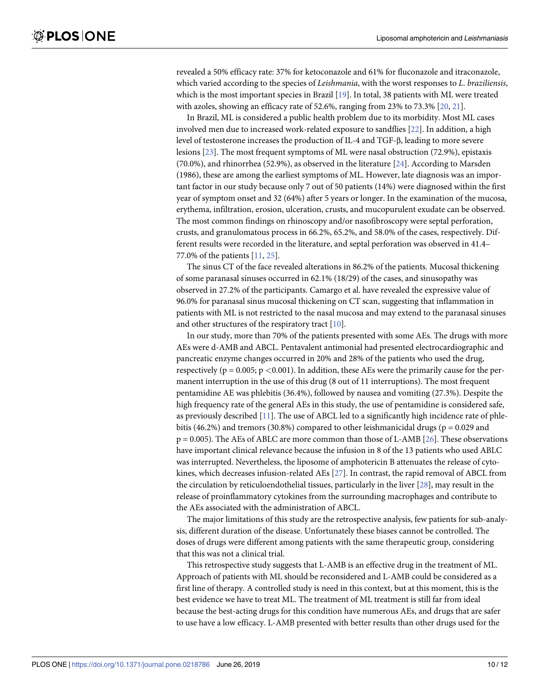<span id="page-9-0"></span>revealed a 50% efficacy rate: 37% for ketoconazole and 61% for fluconazole and itraconazole, which varied according to the species of *Leishmania*, with the worst responses to *L*. *braziliensis*, which is the most important species in Brazil [[19](#page-11-0)]. In total, 38 patients with ML were treated with azoles, showing an efficacy rate of 52.6%, ranging from 23% to 73.3% [\[20](#page-11-0), [21](#page-11-0)].

In Brazil, ML is considered a public health problem due to its morbidity. Most ML cases involved men due to increased work-related exposure to sandflies [[22](#page-11-0)]. In addition, a high level of testosterone increases the production of IL-4 and TGF-β, leading to more severe lesions [[23](#page-11-0)]. The most frequent symptoms of ML were nasal obstruction (72.9%), epistaxis (70.0%), and rhinorrhea (52.9%), as observed in the literature [\[24\]](#page-11-0). According to Marsden (1986), these are among the earliest symptoms of ML. However, late diagnosis was an important factor in our study because only 7 out of 50 patients (14%) were diagnosed within the first year of symptom onset and 32 (64%) after 5 years or longer. In the examination of the mucosa, erythema, infiltration, erosion, ulceration, crusts, and mucopurulent exudate can be observed. The most common findings on rhinoscopy and/or nasofibroscopy were septal perforation, crusts, and granulomatous process in 66.2%, 65.2%, and 58.0% of the cases, respectively. Different results were recorded in the literature, and septal perforation was observed in 41.4– 77.0% of the patients [\[11,](#page-11-0) [25\]](#page-11-0).

The sinus CT of the face revealed alterations in 86.2% of the patients. Mucosal thickening of some paranasal sinuses occurred in 62.1% (18/29) of the cases, and sinusopathy was observed in 27.2% of the participants. Camargo et al. have revealed the expressive value of 96.0% for paranasal sinus mucosal thickening on CT scan, suggesting that inflammation in patients with ML is not restricted to the nasal mucosa and may extend to the paranasal sinuses and other structures of the respiratory tract [\[10\]](#page-11-0).

In our study, more than 70% of the patients presented with some AEs. The drugs with more AEs were d-AMB and ABCL. Pentavalent antimonial had presented electrocardiographic and pancreatic enzyme changes occurred in 20% and 28% of the patients who used the drug, respectively (p = 0.005; p *<*0.001). In addition, these AEs were the primarily cause for the permanent interruption in the use of this drug (8 out of 11 interruptions). The most frequent pentamidine AE was phlebitis (36.4%), followed by nausea and vomiting (27.3%). Despite the high frequency rate of the general AEs in this study, the use of pentamidine is considered safe, as previously described [[11](#page-11-0)]. The use of ABCL led to a significantly high incidence rate of phlebitis (46.2%) and tremors (30.8%) compared to other leishmanicidal drugs ( $p = 0.029$  and  $p = 0.005$ ). The AEs of ABLC are more common than those of L-AMB [[26](#page-11-0)]. These observations have important clinical relevance because the infusion in 8 of the 13 patients who used ABLC was interrupted. Nevertheless, the liposome of amphotericin B attenuates the release of cytokines, which decreases infusion-related AEs [\[27\]](#page-11-0). In contrast, the rapid removal of ABCL from the circulation by reticuloendothelial tissues, particularly in the liver [\[28\]](#page-11-0), may result in the release of proinflammatory cytokines from the surrounding macrophages and contribute to the AEs associated with the administration of ABCL.

The major limitations of this study are the retrospective analysis, few patients for sub-analysis, different duration of the disease. Unfortunately these biases cannot be controlled. The doses of drugs were different among patients with the same therapeutic group, considering that this was not a clinical trial.

This retrospective study suggests that L-AMB is an effective drug in the treatment of ML. Approach of patients with ML should be reconsidered and L-AMB could be considered as a first line of therapy. A controlled study is need in this context, but at this moment, this is the best evidence we have to treat ML. The treatment of ML treatment is still far from ideal because the best-acting drugs for this condition have numerous AEs, and drugs that are safer to use have a low efficacy. L-AMB presented with better results than other drugs used for the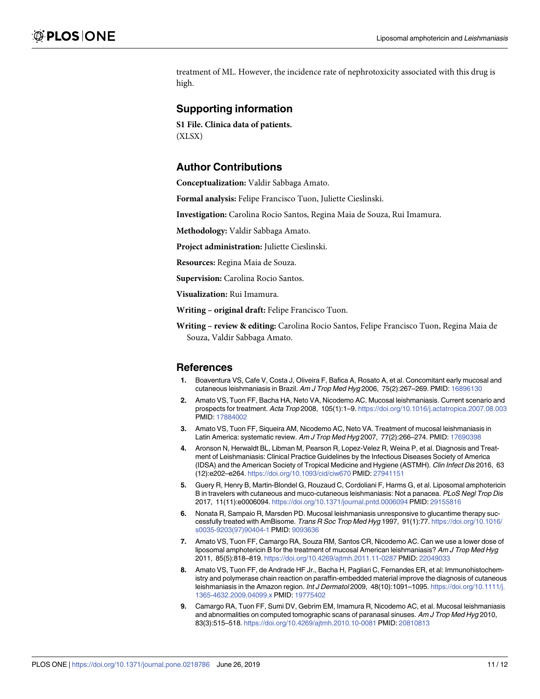<span id="page-10-0"></span>treatment of ML. However, the incidence rate of nephrotoxicity associated with this drug is high.

## **Supporting information**

**S1 [File.](http://www.plosone.org/article/fetchSingleRepresentation.action?uri=info:doi/10.1371/journal.pone.0218786.s001) Clinica data of patients.** (XLSX)

## **Author Contributions**

**Conceptualization:** Valdir Sabbaga Amato.

**Formal analysis:** Felipe Francisco Tuon, Juliette Cieslinski.

**Investigation:** Carolina Rocio Santos, Regina Maia de Souza, Rui Imamura.

**Methodology:** Valdir Sabbaga Amato.

**Project administration:** Juliette Cieslinski.

**Resources:** Regina Maia de Souza.

**Supervision:** Carolina Rocio Santos.

**Visualization:** Rui Imamura.

**Writing – original draft:** Felipe Francisco Tuon.

**Writing – review & editing:** Carolina Rocio Santos, Felipe Francisco Tuon, Regina Maia de Souza, Valdir Sabbaga Amato.

#### **References**

- **[1](#page-1-0).** Boaventura VS, Cafe V, Costa J, Oliveira F, Bafica A, Rosato A, et al. Concomitant early mucosal and cutaneous leishmaniasis in Brazil. Am J Trop Med Hyg 2006, 75(2):267–269. PMID: [16896130](http://www.ncbi.nlm.nih.gov/pubmed/16896130)
- **[2](#page-1-0).** Amato VS, Tuon FF, Bacha HA, Neto VA, Nicodemo AC. Mucosal leishmaniasis. Current scenario and prospects for treatment. Acta Trop 2008, 105(1):1–9. <https://doi.org/10.1016/j.actatropica.2007.08.003> PMID: [17884002](http://www.ncbi.nlm.nih.gov/pubmed/17884002)
- **[3](#page-1-0).** Amato VS, Tuon FF, Siqueira AM, Nicodemo AC, Neto VA. Treatment of mucosal leishmaniasis in Latin America: systematic review. Am J Trop Med Hyg 2007, 77(2):266-274. PMID: [17690398](http://www.ncbi.nlm.nih.gov/pubmed/17690398)
- **[4](#page-1-0).** Aronson N, Herwaldt BL, Libman M, Pearson R, Lopez-Velez R, Weina P, et al. Diagnosis and Treatment of Leishmaniasis: Clinical Practice Guidelines by the Infectious Diseases Society of America (IDSA) and the American Society of Tropical Medicine and Hygiene (ASTMH). Clin Infect Dis 2016, 63 (12):e202–e264. <https://doi.org/10.1093/cid/ciw670> PMID: [27941151](http://www.ncbi.nlm.nih.gov/pubmed/27941151)
- **[5](#page-1-0).** Guery R, Henry B, Martin-Blondel G, Rouzaud C, Cordoliani F, Harms G, et al. Liposomal amphotericin B in travelers with cutaneous and muco-cutaneous leishmaniasis: Not a panacea. PLoS Negl Trop Dis 2017, 11(11):e0006094. <https://doi.org/10.1371/journal.pntd.0006094> PMID: [29155816](http://www.ncbi.nlm.nih.gov/pubmed/29155816)
- **[6](#page-1-0).** Nonata R, Sampaio R, Marsden PD. Mucosal leishmaniasis unresponsive to glucantime therapy successfully treated with AmBisome. Trans R Soc Trop Med Hyg 1997, 91(1):77. [https://doi.org/10.1016/](https://doi.org/10.1016/s0035-9203(97)90404-1) [s0035-9203\(97\)90404-1](https://doi.org/10.1016/s0035-9203(97)90404-1) PMID: [9093636](http://www.ncbi.nlm.nih.gov/pubmed/9093636)
- **[7](#page-1-0).** Amato VS, Tuon FF, Camargo RA, Souza RM, Santos CR, Nicodemo AC. Can we use a lower dose of liposomal amphotericin B for the treatment of mucosal American leishmaniasis? Am J Trop Med Hyg 2011, 85(5):818–819. <https://doi.org/10.4269/ajtmh.2011.11-0287> PMID: [22049033](http://www.ncbi.nlm.nih.gov/pubmed/22049033)
- **[8](#page-1-0).** Amato VS, Tuon FF, de Andrade HF Jr., Bacha H, Pagliari C, Fernandes ER, et al: Immunohistochemistry and polymerase chain reaction on paraffin-embedded material improve the diagnosis of cutaneous leishmaniasis in the Amazon region. Int J Dermatol 2009, 48(10):1091-1095. [https://doi.org/10.1111/j.](https://doi.org/10.1111/j.1365-4632.2009.04099.x) [1365-4632.2009.04099.x](https://doi.org/10.1111/j.1365-4632.2009.04099.x) PMID: [19775402](http://www.ncbi.nlm.nih.gov/pubmed/19775402)
- **[9](#page-1-0).** Camargo RA, Tuon FF, Sumi DV, Gebrim EM, Imamura R, Nicodemo AC, et al. Mucosal leishmaniasis and abnormalities on computed tomographic scans of paranasal sinuses. Am J Trop Med Hyg 2010, 83(3):515–518. <https://doi.org/10.4269/ajtmh.2010.10-0081> PMID: [20810813](http://www.ncbi.nlm.nih.gov/pubmed/20810813)